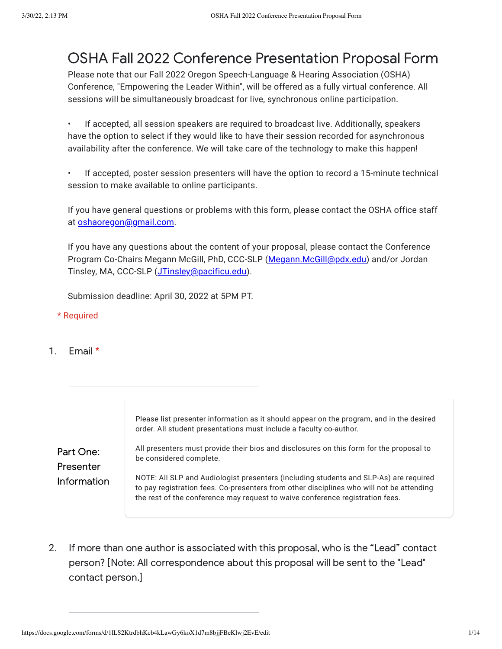# OSHA Fall 2022 Conference Presentation Proposal Form

Please note that our Fall 2022 Oregon Speech-Language & Hearing Association (OSHA) Conference, "Empowering the Leader Within", will be offered as a fully virtual conference. All sessions will be simultaneously broadcast for live, synchronous online participation.

• If accepted, all session speakers are required to broadcast live. Additionally, speakers have the option to select if they would like to have their session recorded for asynchronous availability after the conference. We will take care of the technology to make this happen!

• If accepted, poster session presenters will have the option to record a 15-minute technical session to make available to online participants.

If you have general questions or problems with this form, please contact the OSHA office staff at [oshaoregon@gmail.com.](mailto:oshaoregon@gmail.com)

If you have any questions about the content of your proposal, please contact the Conference Program Co-Chairs Megann McGill, PhD, CCC-SLP ([Megann.McGill@pdx.edu](mailto:Megann.McGill@pdx.edu)) and/or Jordan Tinsley, MA, CCC-SLP (*JTinsley@pacificu.edu*).

Submission deadline: April 30, 2022 at 5PM PT.

### \* Required

1. Email \*

Part One: Presenter Information Please list presenter information as it should appear on the program, and in the desired order. All student presentations must include a faculty co-author. All presenters must provide their bios and disclosures on this form for the proposal to be considered complete. NOTE: All SLP and Audiologist presenters (including students and SLP-As) are required to pay registration fees. Co-presenters from other disciplines who will not be attending the rest of the conference may request to waive conference registration fees.

2. If more than one author is associated with this proposal, who is the "Lead" contact person? [Note: All correspondence about this proposal will be sent to the "Lead" contact person.]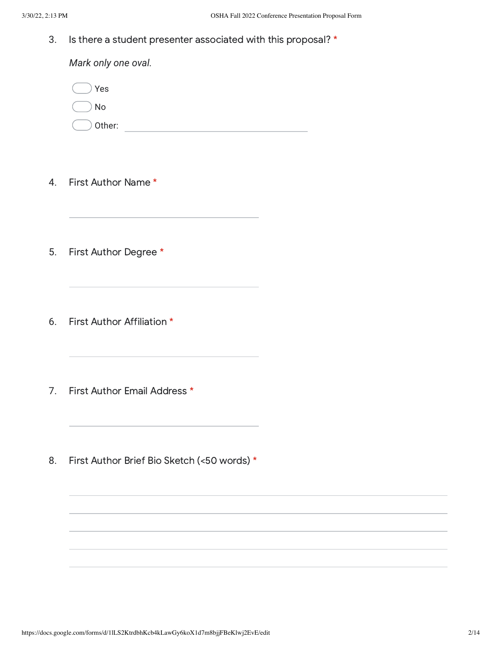3. Is there a student presenter associated with this proposal? \*

*Mark only one oval.* Other: with a state of the state of the state of the state of the state of the state of the state of the state of the state of the state of the state of the state of the state of the state of the state of the state of the Yes No

- 4. First Author Name \*
- 5. First Author Degree \*
- 6. First Author Affiliation \*
- 7. First Author Email Address \*
- 8. First Author Brief Bio Sketch (<50 words) \*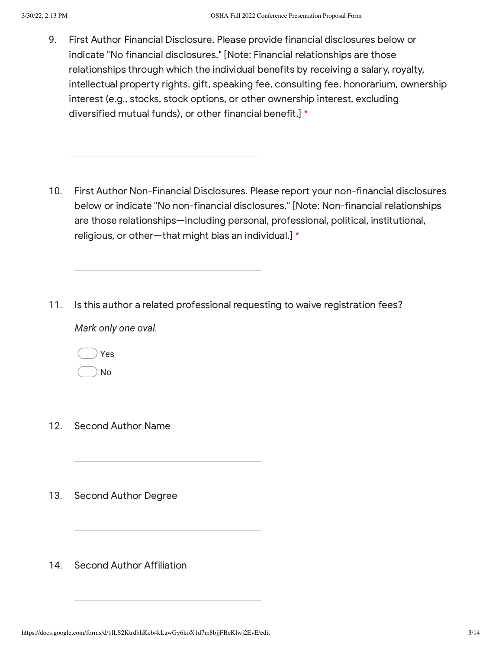9. First Author Financial Disclosure. Please provide financial disclosures below or indicate "No financial disclosures." [Note: Financial relationships are those relationships through which the individual benefits by receiving a salary, royalty, intellectual property rights, gift, speaking fee, consulting fee, honorarium, ownership interest (e.g., stocks, stock options, or other ownership interest, excluding diversified mutual funds), or other financial benefit.] \*

- 10. First Author Non-Financial Disclosures. Please report your non-financial disclosures below or indicate "No non-financial disclosures." [Note: Non-financial relationships are those relationships—including personal, professional, political, institutional, religious, or other—that might bias an individual.] \*
- 11. Is this author a related professional requesting to waive registration fees?

*Mark only one oval.*

| Yes |
|-----|
| No  |

- 12. Second Author Name
- 13. Second Author Degree
- 14. Second Author Affiliation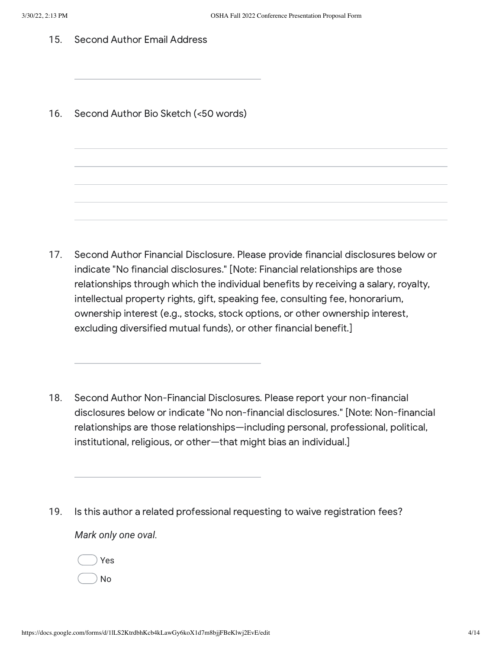- 15. Second Author Email Address
- 16. Second Author Bio Sketch (<50 words)

- 17. Second Author Financial Disclosure. Please provide financial disclosures below or indicate "No financial disclosures." [Note: Financial relationships are those relationships through which the individual benefits by receiving a salary, royalty, intellectual property rights, gift, speaking fee, consulting fee, honorarium, ownership interest (e.g., stocks, stock options, or other ownership interest, excluding diversified mutual funds), or other financial benefit.]
- 18. Second Author Non-Financial Disclosures. Please report your non-financial disclosures below or indicate "No non-financial disclosures." [Note: Non-financial relationships are those relationships—including personal, professional, political, institutional, religious, or other—that might bias an individual.]
- 19. *Mark only one oval.* Is this author a related professional requesting to waive registration fees?
	- Yes
	- No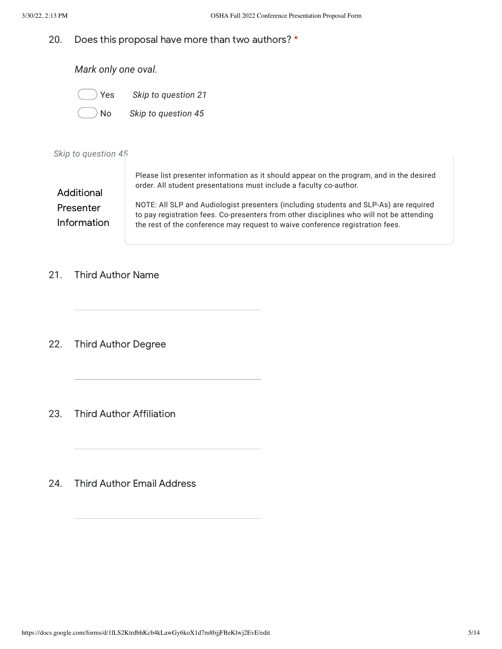#### 20. Does this proposal have more than two authors? \*

*Mark only one oval.*

- Yes *Skip to question 21*
	- No *Skip to question 45*

### *Skip to question 45*

| Additional                      | Please list presenter information as it should appear on the program, and in the desired<br>order. All student presentations must include a faculty co-author.                                                                                                     |
|---------------------------------|--------------------------------------------------------------------------------------------------------------------------------------------------------------------------------------------------------------------------------------------------------------------|
| Presenter<br><b>Information</b> | NOTE: All SLP and Audiologist presenters (including students and SLP-As) are required<br>to pay registration fees. Co-presenters from other disciplines who will not be attending<br>the rest of the conference may request to waive conference registration fees. |

#### 21. Third Author Name

22. Third Author Degree

- 23. Third Author Affiliation
- 24. Third Author Email Address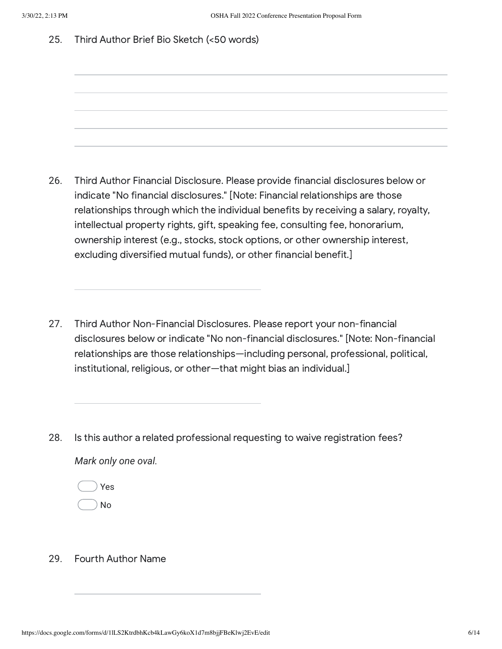25. Third Author Brief Bio Sketch (<50 words)

- 26. Third Author Financial Disclosure. Please provide financial disclosures below or indicate "No financial disclosures." [Note: Financial relationships are those relationships through which the individual benefits by receiving a salary, royalty, intellectual property rights, gift, speaking fee, consulting fee, honorarium, ownership interest (e.g., stocks, stock options, or other ownership interest, excluding diversified mutual funds), or other financial benefit.]
- 27. Third Author Non-Financial Disclosures. Please report your non-financial disclosures below or indicate "No non-financial disclosures." [Note: Non-financial relationships are those relationships—including personal, professional, political, institutional, religious, or other—that might bias an individual.]
- 28. *Mark only one oval.* Is this author a related professional requesting to waive registration fees?
	- Yes
	- No

#### 29. Fourth Author Name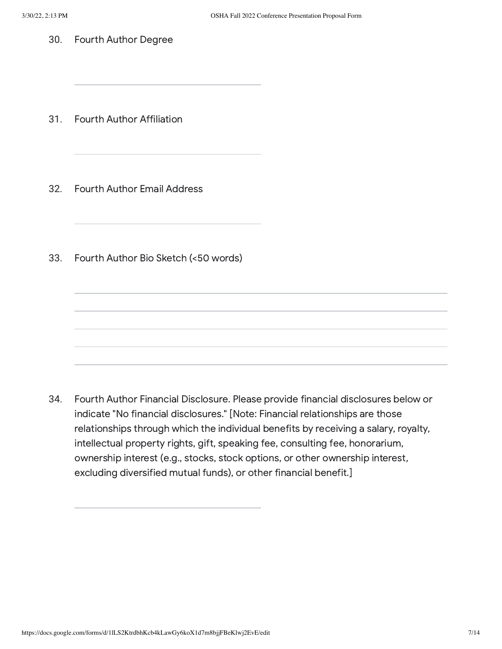30. Fourth Author Degree

31. Fourth Author Affiliation

- 32. Fourth Author Email Address
- 33. Fourth Author Bio Sketch (<50 words)

34. Fourth Author Financial Disclosure. Please provide financial disclosures below or indicate "No financial disclosures." [Note: Financial relationships are those relationships through which the individual benefits by receiving a salary, royalty, intellectual property rights, gift, speaking fee, consulting fee, honorarium, ownership interest (e.g., stocks, stock options, or other ownership interest, excluding diversified mutual funds), or other financial benefit.]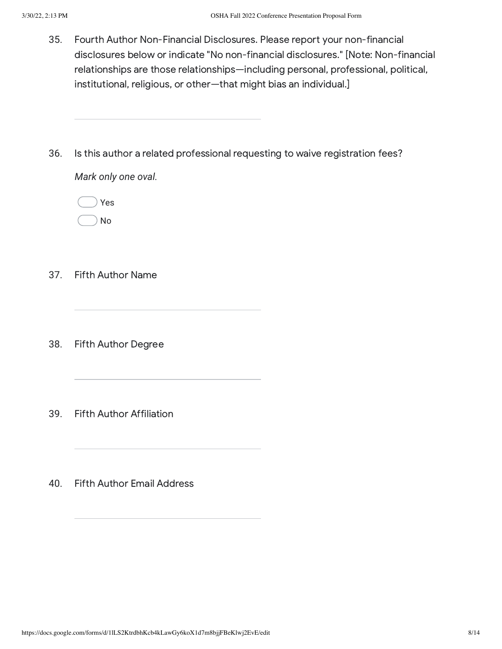- 35. Fourth Author Non-Financial Disclosures. Please report your non-financial disclosures below or indicate "No non-financial disclosures." [Note: Non-financial relationships are those relationships—including personal, professional, political, institutional, religious, or other—that might bias an individual.]
- 36. Is this author a related professional requesting to waive registration fees?

*Mark only one oval.*

Yes No

- 37. Fifth Author Name
- 38. Fifth Author Degree
- 39. Fifth Author Affiliation
- 40. Fifth Author Email Address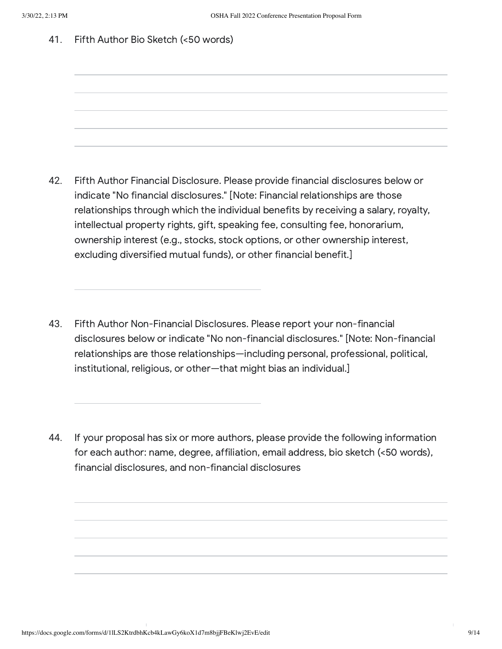41. Fifth Author Bio Sketch (<50 words)

- 42. Fifth Author Financial Disclosure. Please provide financial disclosures below or indicate "No financial disclosures." [Note: Financial relationships are those relationships through which the individual benefits by receiving a salary, royalty, intellectual property rights, gift, speaking fee, consulting fee, honorarium, ownership interest (e.g., stocks, stock options, or other ownership interest, excluding diversified mutual funds), or other financial benefit.]
- 43. Fifth Author Non-Financial Disclosures. Please report your non-financial disclosures below or indicate "No non-financial disclosures." [Note: Non-financial relationships are those relationships—including personal, professional, political, institutional, religious, or other—that might bias an individual.]
- 44. If your proposal has six or more authors, please provide the following information for each author: name, degree, affiliation, email address, bio sketch (<50 words), financial disclosures, and non-financial disclosures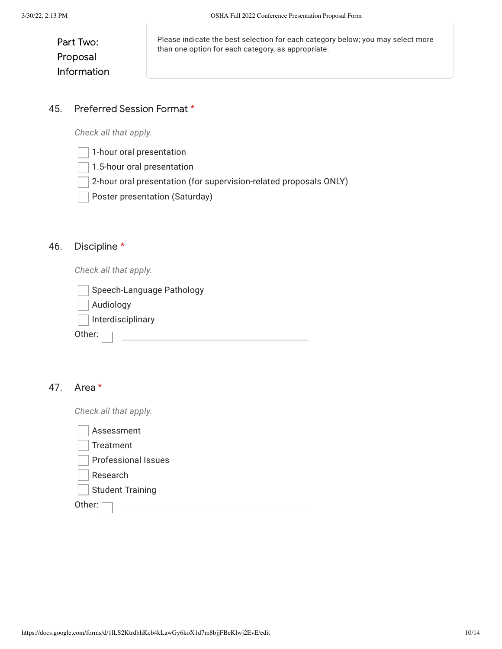| Part Two:   |  |
|-------------|--|
| Proposal    |  |
| Information |  |

Please indicate the best selection for each category below; you may select more than one option for each category, as appropriate.

#### 45. Preferred Session Format \*

*Check all that apply.*

- 1-hour oral presentation
- 1.5-hour oral presentation
- 2-hour oral presentation (for supervision-related proposals ONLY)
- Poster presentation (Saturday)

#### 46. Discipline \*

*Check all that apply.*

| Speech-Language Pathology |  |
|---------------------------|--|
| Audiology                 |  |
| Interdisciplinary         |  |
| Other:                    |  |
|                           |  |

## 47. Area \*

*Check all that apply.*

| Assessment                 |
|----------------------------|
| Treatment                  |
| <b>Professional Issues</b> |
| Research                   |
| <b>Student Training</b>    |
| Other:                     |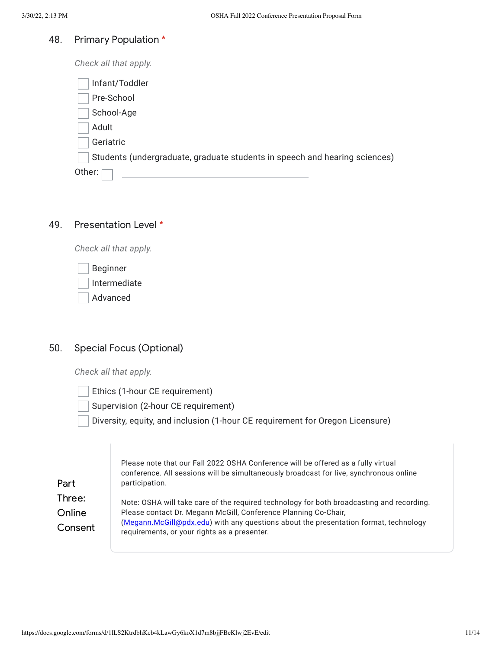#### 48. Primary Population \*

*Check all that apply.*

| Infant/Toddler                                                             |  |
|----------------------------------------------------------------------------|--|
| Pre-School                                                                 |  |
| School-Age                                                                 |  |
| Adult                                                                      |  |
| Geriatric                                                                  |  |
| Students (undergraduate, graduate students in speech and hearing sciences) |  |
| Other:                                                                     |  |

#### 49. Presentation Level \*

*Check all that apply.*

Beginner

Intermediate

Advanced

### 50. Special Focus (Optional)

*Check all that apply.*

Ethics (1-hour CE requirement)

Supervision (2-hour CE requirement)

Diversity, equity, and inclusion (1-hour CE requirement for Oregon Licensure)

| Part                        | Please note that our Fall 2022 OSHA Conference will be offered as a fully virtual<br>conference. All sessions will be simultaneously broadcast for live, synchronous online<br>participation.                                                                                                        |
|-----------------------------|------------------------------------------------------------------------------------------------------------------------------------------------------------------------------------------------------------------------------------------------------------------------------------------------------|
| Three:<br>Online<br>Consent | Note: OSHA will take care of the required technology for both broadcasting and recording.<br>Please contact Dr. Megann McGill, Conference Planning Co-Chair,<br>(Megann.McGill@pdx.edu) with any questions about the presentation format, technology<br>requirements, or your rights as a presenter. |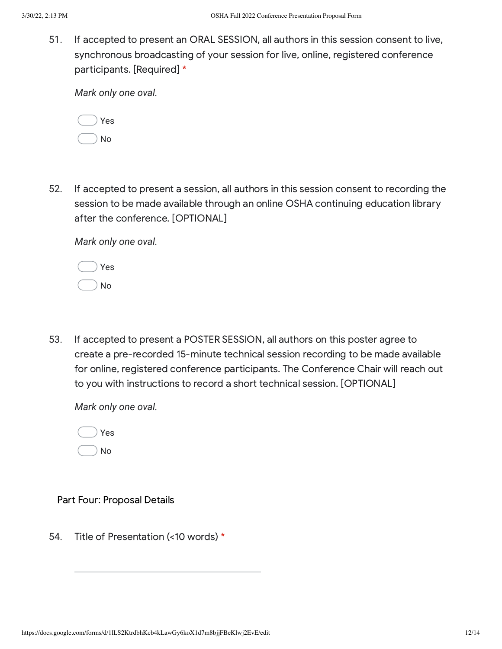51. If accepted to present an ORAL SESSION, all authors in this session consent to live, synchronous broadcasting of your session for live, online, registered conference participants. [Required] \*

*Mark only one oval.*

|  | Yes |
|--|-----|
|  | N٥  |

52. If accepted to present a session, all authors in this session consent to recording the session to be made available through an online OSHA continuing education library after the conference. [OPTIONAL]

*Mark only one oval.*

| Yes |  |
|-----|--|
| No  |  |

53. If accepted to present a POSTER SESSION, all authors on this poster agree to create a pre-recorded 15-minute technical session recording to be made available for online, registered conference participants. The Conference Chair will reach out to you with instructions to record a short technical session. [OPTIONAL]

*Mark only one oval.*



## Part Four: Proposal Details

54. Title of Presentation (<10 words) \*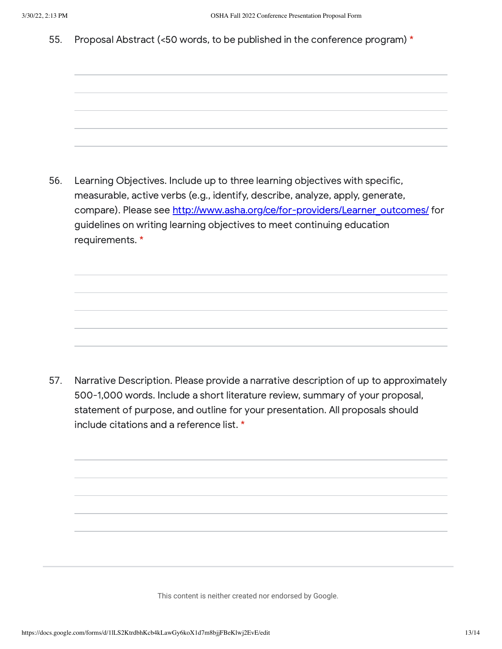55. Proposal Abstract (<50 words, to be published in the conference program) \*

56. Learning Objectives. Include up to three learning objectives with specific, measurable, active verbs (e.g., identify, describe, analyze, apply, generate, compare). Please see [http://www.asha.org/ce/for-providers/Learner\\_outcomes/](https://www.google.com/url?q=http://www.asha.org/ce/for-providers/Learner_outcomes/&sa=D&source=editors&ust=1648678390436986&usg=AOvVaw0FAnvMAY4lkz5N3j2FnM3_) for guidelines on writing learning objectives to meet continuing education requirements. \*

57. Narrative Description. Please provide a narrative description of up to approximately 500-1,000 words. Include a short literature review, summary of your proposal, statement of purpose, and outline for your presentation. All proposals should include citations and a reference list. \*

This content is neither created nor endorsed by Google.